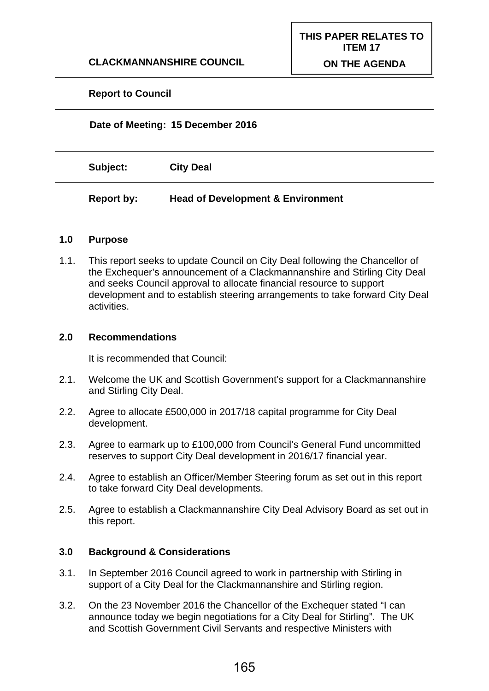## **CLACKMANNANSHIRE COUNCIL**

## **Report to Council**

# **Date of Meeting: 15 December 2016 Subject: City Deal Report by: Head of Development & Environment**

#### **1.0 Purpose**

1.1. This report seeks to update Council on City Deal following the Chancellor of the Exchequer's announcement of a Clackmannanshire and Stirling City Deal and seeks Council approval to allocate financial resource to support development and to establish steering arrangements to take forward City Deal activities.

#### **2.0 Recommendations**

It is recommended that Council:

- 2.1. Welcome the UK and Scottish Government's support for a Clackmannanshire and Stirling City Deal.
- 2.2. Agree to allocate £500,000 in 2017/18 capital programme for City Deal development.
- 2.3. Agree to earmark up to £100,000 from Council's General Fund uncommitted reserves to support City Deal development in 2016/17 financial year.
- 2.4. Agree to establish an Officer/Member Steering forum as set out in this report to take forward City Deal developments.
- 2.5. Agree to establish a Clackmannanshire City Deal Advisory Board as set out in this report.

## **3.0 Background & Considerations**

- 3.1. In September 2016 Council agreed to work in partnership with Stirling in support of a City Deal for the Clackmannanshire and Stirling region.
- 3.2. On the 23 November 2016 the Chancellor of the Exchequer stated "I can announce today we begin negotiations for a City Deal for Stirling". The UK and Scottish Government Civil Servants and respective Ministers with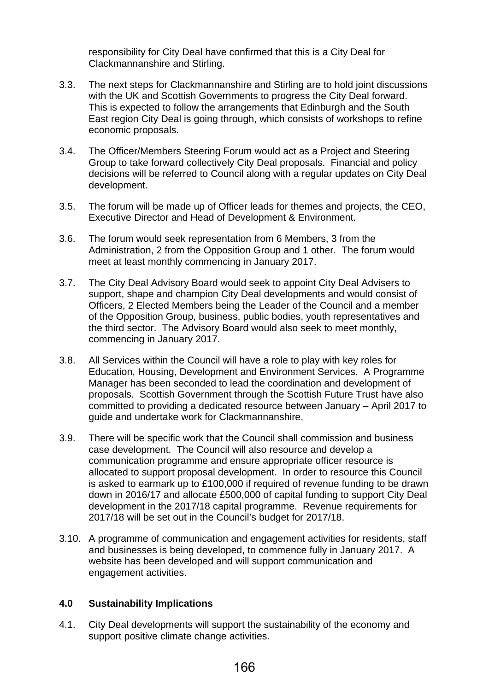responsibility for City Deal have confirmed that this is a City Deal for Clackmannanshire and Stirling.

- 3.3. The next steps for Clackmannanshire and Stirling are to hold joint discussions with the UK and Scottish Governments to progress the City Deal forward. This is expected to follow the arrangements that Edinburgh and the South East region City Deal is going through, which consists of workshops to refine economic proposals.
- 3.4. The Officer/Members Steering Forum would act as a Project and Steering Group to take forward collectively City Deal proposals. Financial and policy decisions will be referred to Council along with a regular updates on City Deal development.
- 3.5. The forum will be made up of Officer leads for themes and projects, the CEO, Executive Director and Head of Development & Environment.
- 3.6. The forum would seek representation from 6 Members, 3 from the Administration, 2 from the Opposition Group and 1 other. The forum would meet at least monthly commencing in January 2017.
- 3.7. The City Deal Advisory Board would seek to appoint City Deal Advisers to support, shape and champion City Deal developments and would consist of Officers, 2 Elected Members being the Leader of the Council and a member of the Opposition Group, business, public bodies, youth representatives and the third sector. The Advisory Board would also seek to meet monthly, commencing in January 2017.
- 3.8. All Services within the Council will have a role to play with key roles for Education, Housing, Development and Environment Services. A Programme Manager has been seconded to lead the coordination and development of proposals. Scottish Government through the Scottish Future Trust have also committed to providing a dedicated resource between January – April 2017 to guide and undertake work for Clackmannanshire.
- 3.9. There will be specific work that the Council shall commission and business case development. The Council will also resource and develop a communication programme and ensure appropriate officer resource is allocated to support proposal development. In order to resource this Council is asked to earmark up to £100,000 if required of revenue funding to be drawn down in 2016/17 and allocate £500,000 of capital funding to support City Deal development in the 2017/18 capital programme. Revenue requirements for 2017/18 will be set out in the Council's budget for 2017/18.
- 3.10. A programme of communication and engagement activities for residents, staff and businesses is being developed, to commence fully in January 2017. A website has been developed and will support communication and engagement activities.

#### **4.0 Sustainability Implications**

4.1. City Deal developments will support the sustainability of the economy and support positive climate change activities.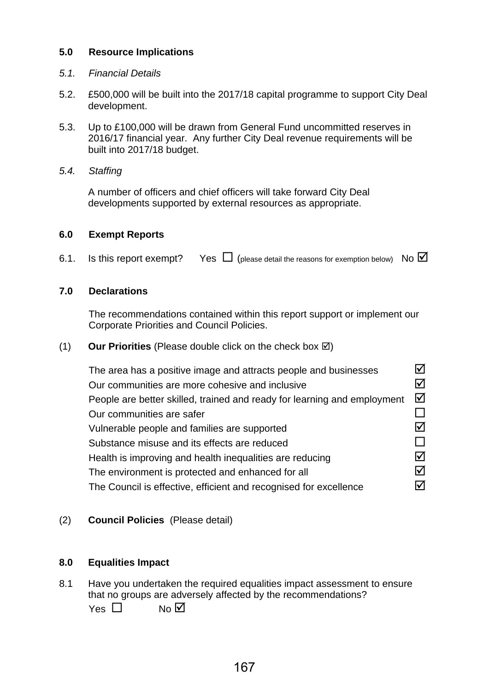# **5.0 Resource Implications**

## *5.1. Financial Details*

- 5.2. £500,000 will be built into the 2017/18 capital programme to support City Deal development.
- 5.3. Up to £100,000 will be drawn from General Fund uncommitted reserves in 2016/17 financial year. Any further City Deal revenue requirements will be built into 2017/18 budget.
- *5.4. Staffing*

A number of officers and chief officers will take forward City Deal developments supported by external resources as appropriate.

#### **6.0 Exempt Reports**

6.1. Is this report exempt? Yes  $\Box$  (please detail the reasons for exemption below) No  $\Box$ 

## **7.0 Declarations**

The recommendations contained within this report support or implement our Corporate Priorities and Council Policies.

(1) **Our Priorities** (Please double click on the check box  $\boxtimes$ )

| The area has a positive image and attracts people and businesses         |   |
|--------------------------------------------------------------------------|---|
| Our communities are more cohesive and inclusive                          | ☑ |
| People are better skilled, trained and ready for learning and employment | ☑ |
| Our communities are safer                                                |   |
| Vulnerable people and families are supported                             |   |
| Substance misuse and its effects are reduced                             |   |
| Health is improving and health inequalities are reducing                 | ☑ |
| The environment is protected and enhanced for all                        | ☑ |
| The Council is effective, efficient and recognised for excellence        |   |

## (2) **Council Policies** (Please detail)

## **8.0 Equalities Impact**

8.1 Have you undertaken the required equalities impact assessment to ensure that no groups are adversely affected by the recommendations?  $Yes \n\begin{bmatrix} \n\end{bmatrix}$  No  $\overline{M}$